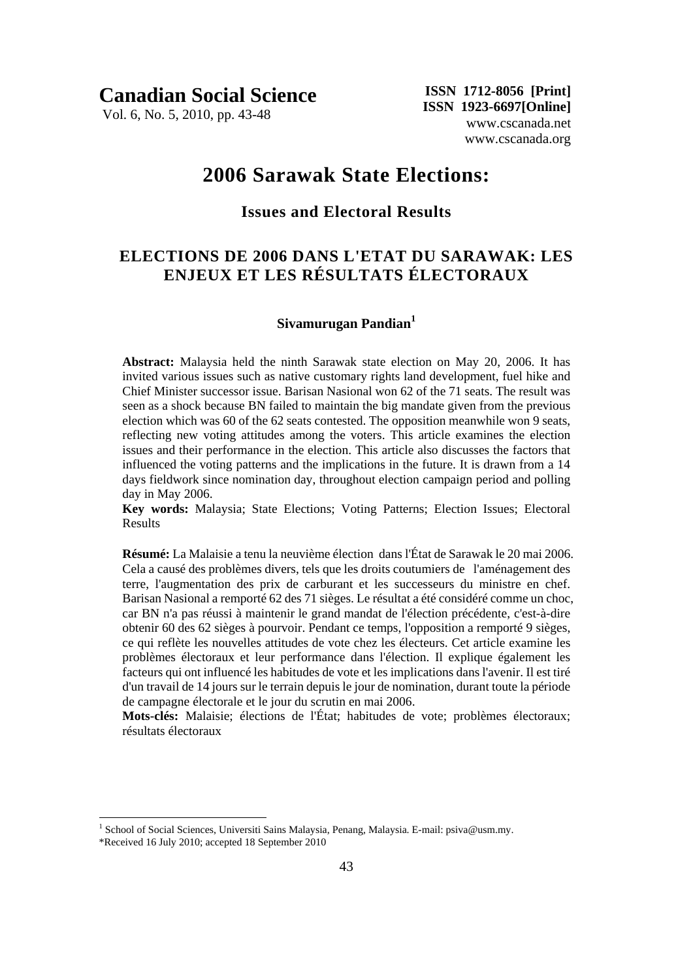**Canadian Social Science** 

Vol. 6, No. 5, 2010, pp. 43-48

 **ISSN 1712-8056 [Print] ISSN 1923-6697[Online]** www.cscanada.net www.cscanada.org

# **2006 Sarawak State Elections:**

# **Issues and Electoral Results**

# **ELECTIONS DE 2006 DANS L'ETAT DU SARAWAK: LES ENJEUX ET LES RÉSULTATS ÉLECTORAUX**

### **Sivamurugan Pandian<sup>1</sup>**

**Abstract:** Malaysia held the ninth Sarawak state election on May 20, 2006. It has invited various issues such as native customary rights land development, fuel hike and Chief Minister successor issue. Barisan Nasional won 62 of the 71 seats. The result was seen as a shock because BN failed to maintain the big mandate given from the previous election which was 60 of the 62 seats contested. The opposition meanwhile won 9 seats, reflecting new voting attitudes among the voters. This article examines the election issues and their performance in the election. This article also discusses the factors that influenced the voting patterns and the implications in the future. It is drawn from a 14 days fieldwork since nomination day, throughout election campaign period and polling day in May 2006.

**Key words:** Malaysia; State Elections; Voting Patterns; Election Issues; Electoral Results

**Résumé:** La Malaisie a tenu la neuvième élection dans l'État de Sarawak le 20 mai 2006. Cela a causé des problèmes divers, tels que les droits coutumiers de l'aménagement des terre, l'augmentation des prix de carburant et les successeurs du ministre en chef. Barisan Nasional a remporté 62 des 71 sièges. Le résultat a été considéré comme un choc, car BN n'a pas réussi à maintenir le grand mandat de l'élection précédente, c'est-à-dire obtenir 60 des 62 sièges à pourvoir. Pendant ce temps, l'opposition a remporté 9 sièges, ce qui reflète les nouvelles attitudes de vote chez les électeurs. Cet article examine les problèmes électoraux et leur performance dans l'élection. Il explique également les facteurs qui ont influencé les habitudes de vote et les implications dans l'avenir. Il est tiré d'un travail de 14 jours sur le terrain depuis le jour de nomination, durant toute la période de campagne électorale et le jour du scrutin en mai 2006.

**Mots-clés:** Malaisie; élections de l'État; habitudes de vote; problèmes électoraux; résultats électoraux

1

<sup>&</sup>lt;sup>1</sup> School of Social Sciences, Universiti Sains Malaysia, Penang, Malaysia. E-mail: psiva@usm.my.

<sup>\*</sup>Received 16 July 2010; accepted 18 September 2010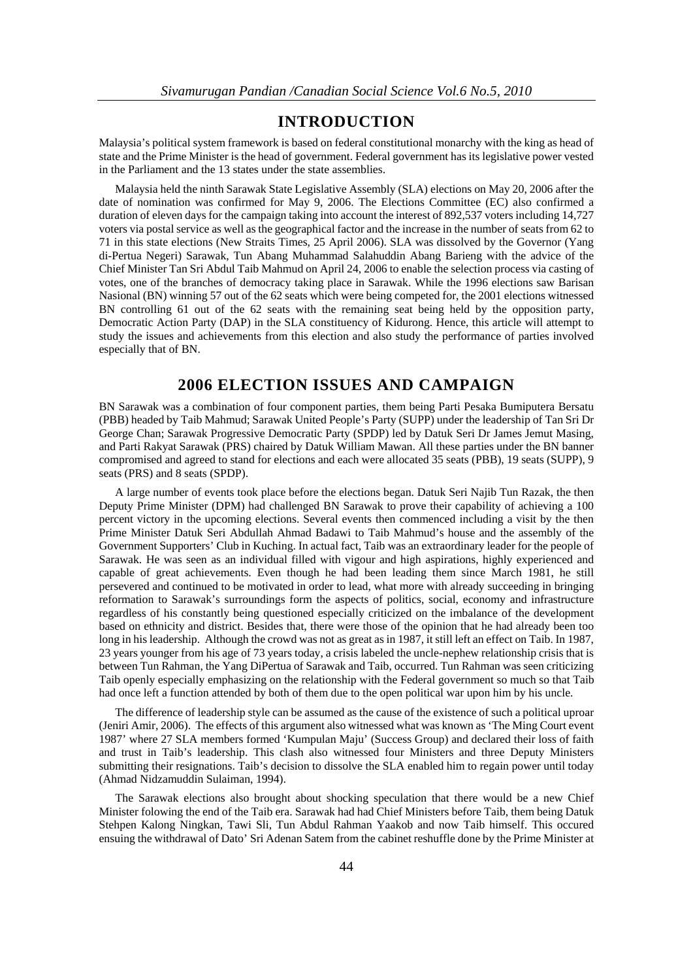### **INTRODUCTION**

Malaysia's political system framework is based on federal constitutional monarchy with the king as head of state and the Prime Minister is the head of government. Federal government has its legislative power vested in the Parliament and the 13 states under the state assemblies.

Malaysia held the ninth Sarawak State Legislative Assembly (SLA) elections on May 20, 2006 after the date of nomination was confirmed for May 9, 2006. The Elections Committee (EC) also confirmed a duration of eleven days for the campaign taking into account the interest of 892,537 voters including 14,727 voters via postal service as well as the geographical factor and the increase in the number of seats from 62 to 71 in this state elections (New Straits Times, 25 April 2006). SLA was dissolved by the Governor (Yang di-Pertua Negeri) Sarawak, Tun Abang Muhammad Salahuddin Abang Barieng with the advice of the Chief Minister Tan Sri Abdul Taib Mahmud on April 24, 2006 to enable the selection process via casting of votes, one of the branches of democracy taking place in Sarawak. While the 1996 elections saw Barisan Nasional (BN) winning 57 out of the 62 seats which were being competed for, the 2001 elections witnessed BN controlling 61 out of the 62 seats with the remaining seat being held by the opposition party, Democratic Action Party (DAP) in the SLA constituency of Kidurong. Hence, this article will attempt to study the issues and achievements from this election and also study the performance of parties involved especially that of BN.

## **2006 ELECTION ISSUES AND CAMPAIGN**

BN Sarawak was a combination of four component parties, them being Parti Pesaka Bumiputera Bersatu (PBB) headed by Taib Mahmud; Sarawak United People's Party (SUPP) under the leadership of Tan Sri Dr George Chan; Sarawak Progressive Democratic Party (SPDP) led by Datuk Seri Dr James Jemut Masing, and Parti Rakyat Sarawak (PRS) chaired by Datuk William Mawan. All these parties under the BN banner compromised and agreed to stand for elections and each were allocated 35 seats (PBB), 19 seats (SUPP), 9 seats (PRS) and 8 seats (SPDP).

A large number of events took place before the elections began. Datuk Seri Najib Tun Razak, the then Deputy Prime Minister (DPM) had challenged BN Sarawak to prove their capability of achieving a 100 percent victory in the upcoming elections. Several events then commenced including a visit by the then Prime Minister Datuk Seri Abdullah Ahmad Badawi to Taib Mahmud's house and the assembly of the Government Supporters' Club in Kuching. In actual fact, Taib was an extraordinary leader for the people of Sarawak. He was seen as an individual filled with vigour and high aspirations, highly experienced and capable of great achievements. Even though he had been leading them since March 1981, he still persevered and continued to be motivated in order to lead, what more with already succeeding in bringing reformation to Sarawak's surroundings form the aspects of politics, social, economy and infrastructure regardless of his constantly being questioned especially criticized on the imbalance of the development based on ethnicity and district. Besides that, there were those of the opinion that he had already been too long in his leadership. Although the crowd was not as great as in 1987, it still left an effect on Taib. In 1987, 23 years younger from his age of 73 years today, a crisis labeled the uncle-nephew relationship crisis that is between Tun Rahman, the Yang DiPertua of Sarawak and Taib, occurred. Tun Rahman was seen criticizing Taib openly especially emphasizing on the relationship with the Federal government so much so that Taib had once left a function attended by both of them due to the open political war upon him by his uncle.

The difference of leadership style can be assumed as the cause of the existence of such a political uproar (Jeniri Amir, 2006). The effects of this argument also witnessed what was known as 'The Ming Court event 1987' where 27 SLA members formed 'Kumpulan Maju' (Success Group) and declared their loss of faith and trust in Taib's leadership. This clash also witnessed four Ministers and three Deputy Ministers submitting their resignations. Taib's decision to dissolve the SLA enabled him to regain power until today (Ahmad Nidzamuddin Sulaiman, 1994).

The Sarawak elections also brought about shocking speculation that there would be a new Chief Minister folowing the end of the Taib era. Sarawak had had Chief Ministers before Taib, them being Datuk Stehpen Kalong Ningkan, Tawi Sli, Tun Abdul Rahman Yaakob and now Taib himself. This occured ensuing the withdrawal of Dato' Sri Adenan Satem from the cabinet reshuffle done by the Prime Minister at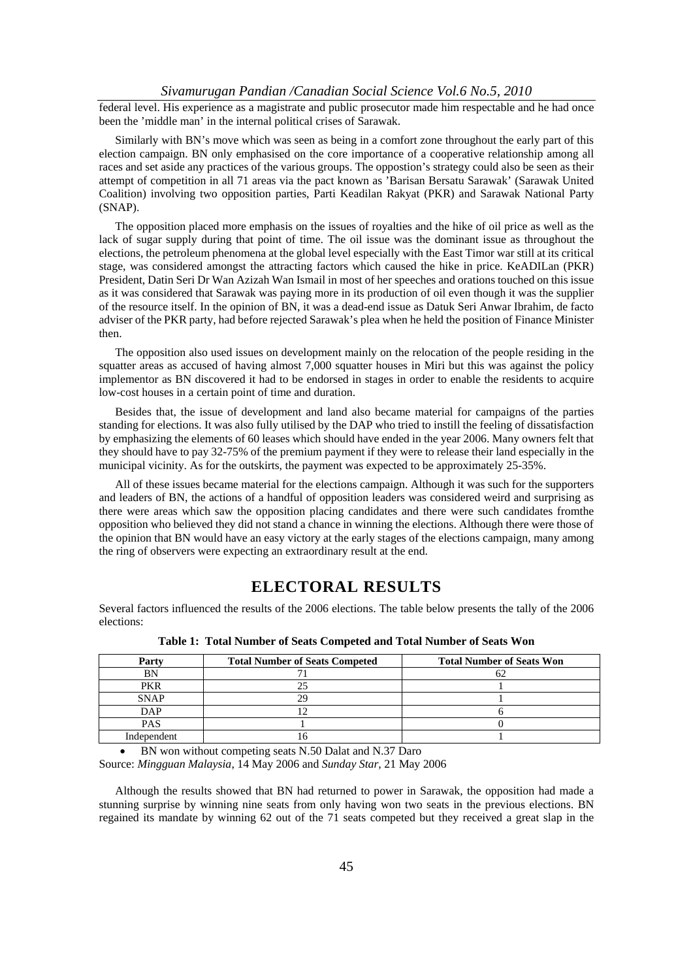#### *Sivamurugan Pandian /Canadian Social Science Vol.6 No.5, 2010*

federal level. His experience as a magistrate and public prosecutor made him respectable and he had once been the 'middle man' in the internal political crises of Sarawak.

Similarly with BN's move which was seen as being in a comfort zone throughout the early part of this election campaign. BN only emphasised on the core importance of a cooperative relationship among all races and set aside any practices of the various groups. The oppostion's strategy could also be seen as their attempt of competition in all 71 areas via the pact known as 'Barisan Bersatu Sarawak' (Sarawak United Coalition) involving two opposition parties, Parti Keadilan Rakyat (PKR) and Sarawak National Party (SNAP).

The opposition placed more emphasis on the issues of royalties and the hike of oil price as well as the lack of sugar supply during that point of time. The oil issue was the dominant issue as throughout the elections, the petroleum phenomena at the global level especially with the East Timor war still at its critical stage, was considered amongst the attracting factors which caused the hike in price. KeADILan (PKR) President, Datin Seri Dr Wan Azizah Wan Ismail in most of her speeches and orations touched on this issue as it was considered that Sarawak was paying more in its production of oil even though it was the supplier of the resource itself. In the opinion of BN, it was a dead-end issue as Datuk Seri Anwar Ibrahim, de facto adviser of the PKR party, had before rejected Sarawak's plea when he held the position of Finance Minister then.

The opposition also used issues on development mainly on the relocation of the people residing in the squatter areas as accused of having almost 7,000 squatter houses in Miri but this was against the policy implementor as BN discovered it had to be endorsed in stages in order to enable the residents to acquire low-cost houses in a certain point of time and duration.

Besides that, the issue of development and land also became material for campaigns of the parties standing for elections. It was also fully utilised by the DAP who tried to instill the feeling of dissatisfaction by emphasizing the elements of 60 leases which should have ended in the year 2006. Many owners felt that they should have to pay 32-75% of the premium payment if they were to release their land especially in the municipal vicinity. As for the outskirts, the payment was expected to be approximately 25-35%.

All of these issues became material for the elections campaign. Although it was such for the supporters and leaders of BN, the actions of a handful of opposition leaders was considered weird and surprising as there were areas which saw the opposition placing candidates and there were such candidates fromthe opposition who believed they did not stand a chance in winning the elections. Although there were those of the opinion that BN would have an easy victory at the early stages of the elections campaign, many among the ring of observers were expecting an extraordinary result at the end.

## **ELECTORAL RESULTS**

Several factors influenced the results of the 2006 elections. The table below presents the tally of the 2006 elections:

| Party       | <b>Total Number of Seats Competed</b> | <b>Total Number of Seats Won</b> |
|-------------|---------------------------------------|----------------------------------|
| BN          |                                       | υ∠                               |
| <b>PKR</b>  | າເ                                    |                                  |
| <b>SNAP</b> | 29                                    |                                  |
| DAP         |                                       |                                  |
| <b>PAS</b>  |                                       |                                  |
| Independent |                                       |                                  |

**Table 1: Total Number of Seats Competed and Total Number of Seats Won** 

• BN won without competing seats N.50 Dalat and N.37 Daro

Source: *Mingguan Malaysia*, 14 May 2006 and *Sunday Star,* 21 May 2006

Although the results showed that BN had returned to power in Sarawak, the opposition had made a stunning surprise by winning nine seats from only having won two seats in the previous elections. BN regained its mandate by winning 62 out of the 71 seats competed but they received a great slap in the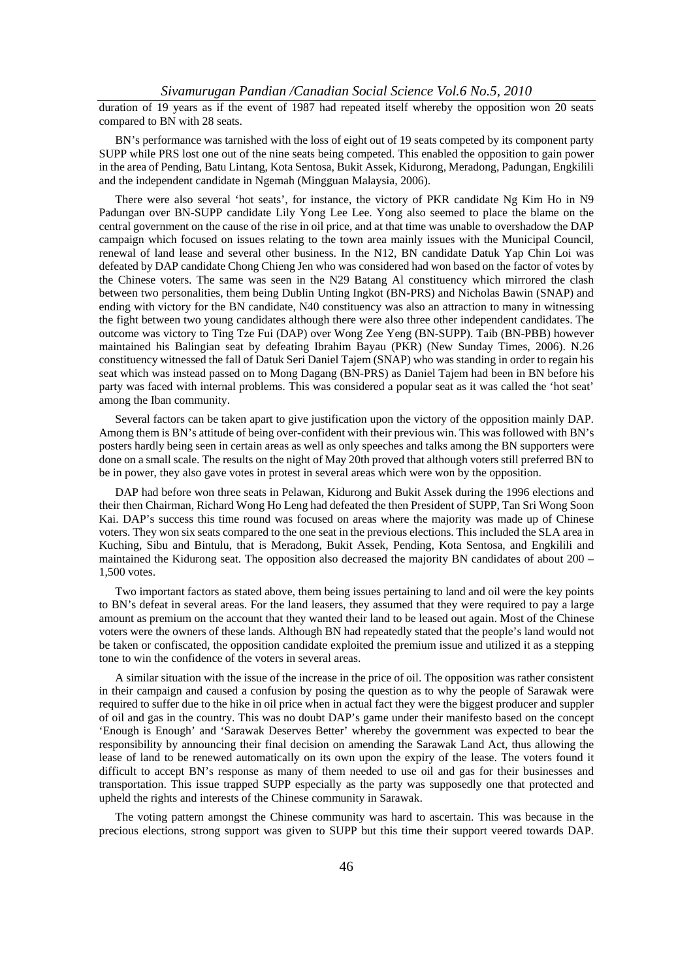duration of 19 years as if the event of 1987 had repeated itself whereby the opposition won 20 seats compared to BN with 28 seats.

BN's performance was tarnished with the loss of eight out of 19 seats competed by its component party SUPP while PRS lost one out of the nine seats being competed. This enabled the opposition to gain power in the area of Pending, Batu Lintang, Kota Sentosa, Bukit Assek, Kidurong, Meradong, Padungan, Engkilili and the independent candidate in Ngemah (Mingguan Malaysia, 2006).

There were also several 'hot seats', for instance, the victory of PKR candidate Ng Kim Ho in N9 Padungan over BN-SUPP candidate Lily Yong Lee Lee. Yong also seemed to place the blame on the central government on the cause of the rise in oil price, and at that time was unable to overshadow the DAP campaign which focused on issues relating to the town area mainly issues with the Municipal Council, renewal of land lease and several other business. In the N12, BN candidate Datuk Yap Chin Loi was defeated by DAP candidate Chong Chieng Jen who was considered had won based on the factor of votes by the Chinese voters. The same was seen in the N29 Batang Al constituency which mirrored the clash between two personalities, them being Dublin Unting Ingkot (BN-PRS) and Nicholas Bawin (SNAP) and ending with victory for the BN candidate, N40 constituency was also an attraction to many in witnessing the fight between two young candidates although there were also three other independent candidates. The outcome was victory to Ting Tze Fui (DAP) over Wong Zee Yeng (BN-SUPP). Taib (BN-PBB) however maintained his Balingian seat by defeating Ibrahim Bayau (PKR) (New Sunday Times, 2006). N.26 constituency witnessed the fall of Datuk Seri Daniel Tajem (SNAP) who was standing in order to regain his seat which was instead passed on to Mong Dagang (BN-PRS) as Daniel Tajem had been in BN before his party was faced with internal problems. This was considered a popular seat as it was called the 'hot seat' among the Iban community.

Several factors can be taken apart to give justification upon the victory of the opposition mainly DAP. Among them is BN's attitude of being over-confident with their previous win. This was followed with BN's posters hardly being seen in certain areas as well as only speeches and talks among the BN supporters were done on a small scale. The results on the night of May 20th proved that although voters still preferred BN to be in power, they also gave votes in protest in several areas which were won by the opposition.

DAP had before won three seats in Pelawan, Kidurong and Bukit Assek during the 1996 elections and their then Chairman, Richard Wong Ho Leng had defeated the then President of SUPP, Tan Sri Wong Soon Kai. DAP's success this time round was focused on areas where the majority was made up of Chinese voters. They won six seats compared to the one seat in the previous elections. This included the SLA area in Kuching, Sibu and Bintulu, that is Meradong, Bukit Assek, Pending, Kota Sentosa, and Engkilili and maintained the Kidurong seat. The opposition also decreased the majority BN candidates of about 200 – 1,500 votes.

Two important factors as stated above, them being issues pertaining to land and oil were the key points to BN's defeat in several areas. For the land leasers, they assumed that they were required to pay a large amount as premium on the account that they wanted their land to be leased out again. Most of the Chinese voters were the owners of these lands. Although BN had repeatedly stated that the people's land would not be taken or confiscated, the opposition candidate exploited the premium issue and utilized it as a stepping tone to win the confidence of the voters in several areas.

A similar situation with the issue of the increase in the price of oil. The opposition was rather consistent in their campaign and caused a confusion by posing the question as to why the people of Sarawak were required to suffer due to the hike in oil price when in actual fact they were the biggest producer and suppler of oil and gas in the country. This was no doubt DAP's game under their manifesto based on the concept 'Enough is Enough' and 'Sarawak Deserves Better' whereby the government was expected to bear the responsibility by announcing their final decision on amending the Sarawak Land Act, thus allowing the lease of land to be renewed automatically on its own upon the expiry of the lease. The voters found it difficult to accept BN's response as many of them needed to use oil and gas for their businesses and transportation. This issue trapped SUPP especially as the party was supposedly one that protected and upheld the rights and interests of the Chinese community in Sarawak.

The voting pattern amongst the Chinese community was hard to ascertain. This was because in the precious elections, strong support was given to SUPP but this time their support veered towards DAP.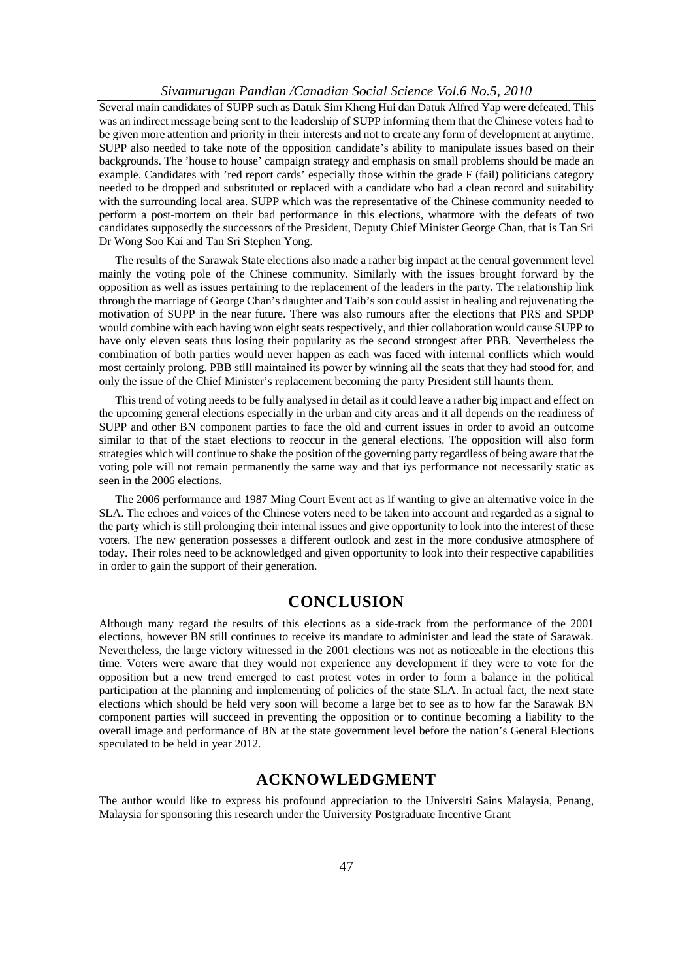#### *Sivamurugan Pandian /Canadian Social Science Vol.6 No.5, 2010*

Several main candidates of SUPP such as Datuk Sim Kheng Hui dan Datuk Alfred Yap were defeated. This was an indirect message being sent to the leadership of SUPP informing them that the Chinese voters had to be given more attention and priority in their interests and not to create any form of development at anytime. SUPP also needed to take note of the opposition candidate's ability to manipulate issues based on their backgrounds. The 'house to house' campaign strategy and emphasis on small problems should be made an example. Candidates with 'red report cards' especially those within the grade F (fail) politicians category needed to be dropped and substituted or replaced with a candidate who had a clean record and suitability with the surrounding local area. SUPP which was the representative of the Chinese community needed to perform a post-mortem on their bad performance in this elections, whatmore with the defeats of two candidates supposedly the successors of the President, Deputy Chief Minister George Chan, that is Tan Sri Dr Wong Soo Kai and Tan Sri Stephen Yong.

The results of the Sarawak State elections also made a rather big impact at the central government level mainly the voting pole of the Chinese community. Similarly with the issues brought forward by the opposition as well as issues pertaining to the replacement of the leaders in the party. The relationship link through the marriage of George Chan's daughter and Taib's son could assist in healing and rejuvenating the motivation of SUPP in the near future. There was also rumours after the elections that PRS and SPDP would combine with each having won eight seats respectively, and thier collaboration would cause SUPP to have only eleven seats thus losing their popularity as the second strongest after PBB. Nevertheless the combination of both parties would never happen as each was faced with internal conflicts which would most certainly prolong. PBB still maintained its power by winning all the seats that they had stood for, and only the issue of the Chief Minister's replacement becoming the party President still haunts them.

This trend of voting needs to be fully analysed in detail as it could leave a rather big impact and effect on the upcoming general elections especially in the urban and city areas and it all depends on the readiness of SUPP and other BN component parties to face the old and current issues in order to avoid an outcome similar to that of the staet elections to reoccur in the general elections. The opposition will also form strategies which will continue to shake the position of the governing party regardless of being aware that the voting pole will not remain permanently the same way and that iys performance not necessarily static as seen in the 2006 elections.

The 2006 performance and 1987 Ming Court Event act as if wanting to give an alternative voice in the SLA. The echoes and voices of the Chinese voters need to be taken into account and regarded as a signal to the party which is still prolonging their internal issues and give opportunity to look into the interest of these voters. The new generation possesses a different outlook and zest in the more condusive atmosphere of today. Their roles need to be acknowledged and given opportunity to look into their respective capabilities in order to gain the support of their generation.

### **CONCLUSION**

Although many regard the results of this elections as a side-track from the performance of the 2001 elections, however BN still continues to receive its mandate to administer and lead the state of Sarawak. Nevertheless, the large victory witnessed in the 2001 elections was not as noticeable in the elections this time. Voters were aware that they would not experience any development if they were to vote for the opposition but a new trend emerged to cast protest votes in order to form a balance in the political participation at the planning and implementing of policies of the state SLA. In actual fact, the next state elections which should be held very soon will become a large bet to see as to how far the Sarawak BN component parties will succeed in preventing the opposition or to continue becoming a liability to the overall image and performance of BN at the state government level before the nation's General Elections speculated to be held in year 2012.

### **ACKNOWLEDGMENT**

The author would like to express his profound appreciation to the Universiti Sains Malaysia, Penang, Malaysia for sponsoring this research under the University Postgraduate Incentive Grant